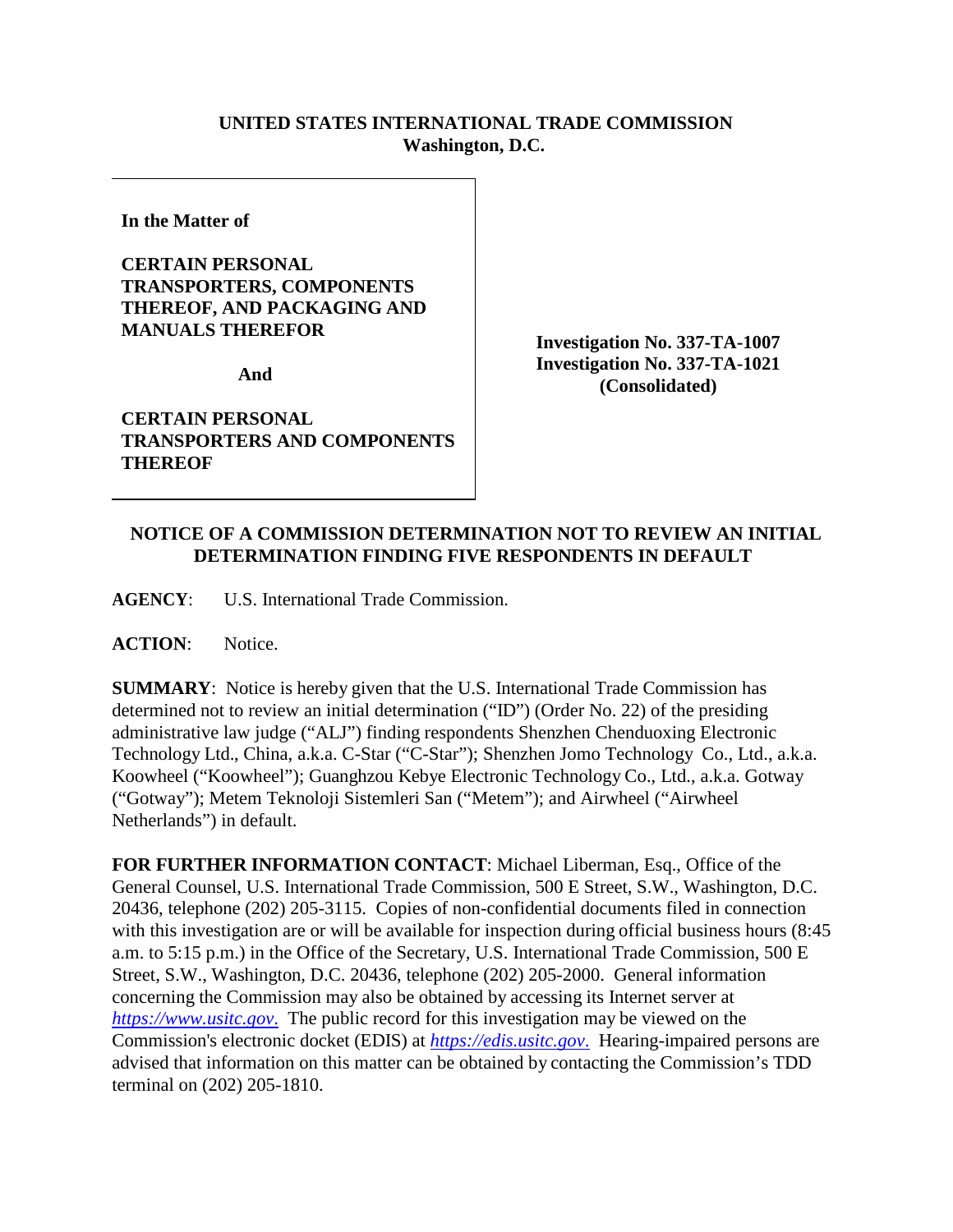## **UNITED STATES INTERNATIONAL TRADE COMMISSION Washington, D.C.**

**In the Matter of** 

## **CERTAIN PERSONAL TRANSPORTERS, COMPONENTS THEREOF, AND PACKAGING AND MANUALS THEREFOR**

**And** 

**CERTAIN PERSONAL TRANSPORTERS AND COMPONENTS THEREOF**

**Investigation No. 337-TA-1007 Investigation No. 337-TA-1021 (Consolidated)**

## **NOTICE OF A COMMISSION DETERMINATION NOT TO REVIEW AN INITIAL DETERMINATION FINDING FIVE RESPONDENTS IN DEFAULT**

**AGENCY**: U.S. International Trade Commission.

**ACTION**: Notice.

**SUMMARY**: Notice is hereby given that the U.S. International Trade Commission has determined not to review an initial determination ("ID") (Order No. 22) of the presiding administrative law judge ("ALJ") finding respondents Shenzhen Chenduoxing Electronic Technology Ltd., China, a.k.a. C-Star ("C-Star"); Shenzhen Jomo Technology Co., Ltd., a.k.a. Koowheel ("Koowheel"); Guanghzou Kebye Electronic Technology Co., Ltd., a.k.a. Gotway ("Gotway"); Metem Teknoloji Sistemleri San ("Metem"); and Airwheel ("Airwheel Netherlands") in default.

**FOR FURTHER INFORMATION CONTACT**: Michael Liberman, Esq., Office of the General Counsel, U.S. International Trade Commission, 500 E Street, S.W., Washington, D.C. 20436, telephone (202) 205-3115. Copies of non-confidential documents filed in connection with this investigation are or will be available for inspection during official business hours (8:45 a.m. to 5:15 p.m.) in the Office of the Secretary, U.S. International Trade Commission, 500 E Street, S.W., Washington, D.C. 20436, telephone (202) 205-2000. General information concerning the Commission may also be obtained by accessing its Internet server at *[https://www.usitc.gov](https://www.usitc.gov./)*. The public record for this investigation may be viewed on the Commission's electronic docket (EDIS) at *[https://edis.usitc.gov](https://edis.usitc.gov./)*. Hearing-impaired persons are advised that information on this matter can be obtained by contacting the Commission's TDD terminal on (202) 205-1810.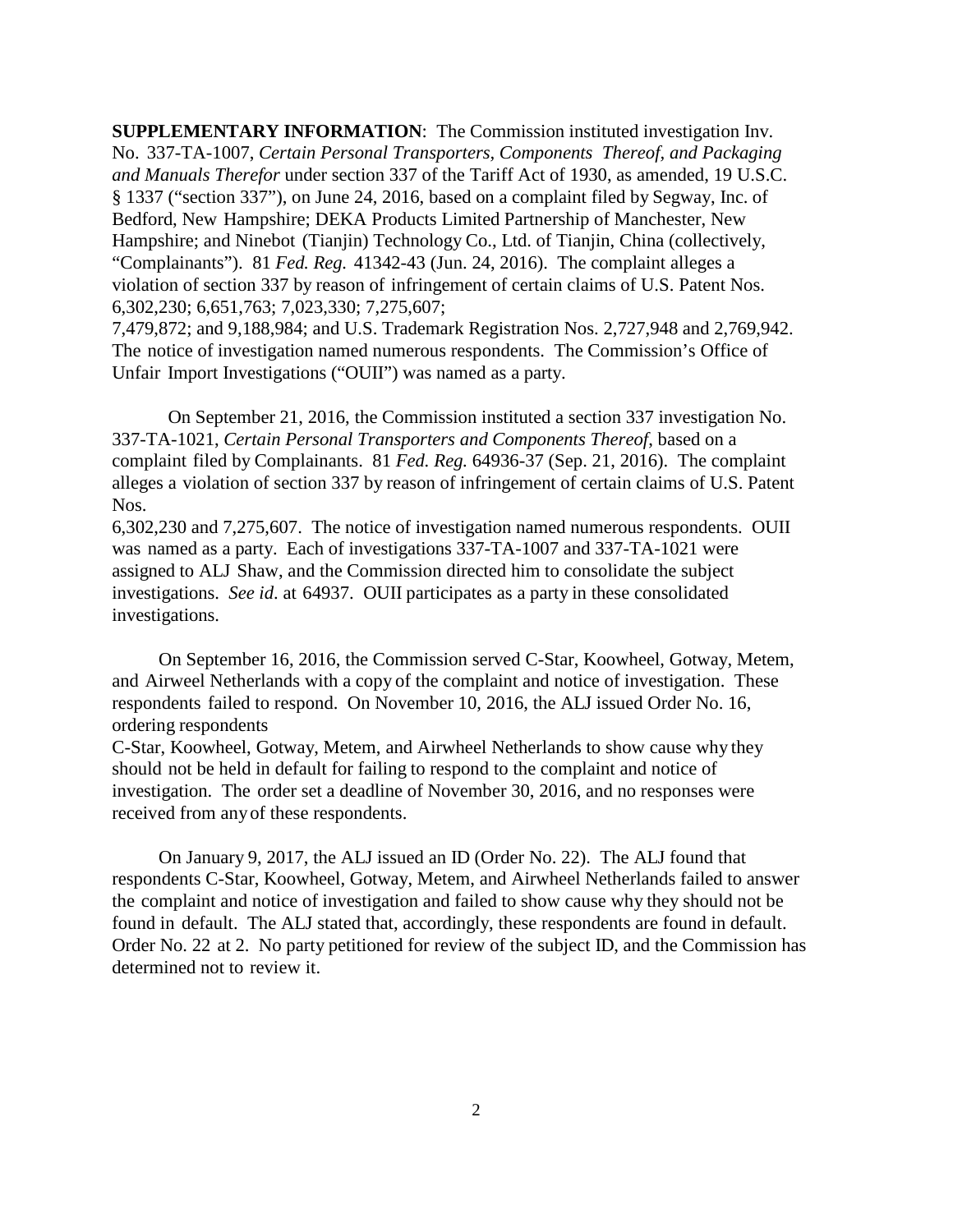**SUPPLEMENTARY INFORMATION**: The Commission instituted investigation Inv. No. 337-TA-1007, *Certain Personal Transporters, Components Thereof, and Packaging and Manuals Therefor* under section 337 of the Tariff Act of 1930, as amended, 19 U.S.C. § 1337 ("section 337"), on June 24, 2016, based on a complaint filed by Segway, Inc. of Bedford, New Hampshire; DEKA Products Limited Partnership of Manchester, New Hampshire; and Ninebot (Tianjin) Technology Co., Ltd. of Tianjin, China (collectively, "Complainants"). 81 *Fed. Reg.* 41342-43 (Jun. 24, 2016). The complaint alleges a violation of section 337 by reason of infringement of certain claims of U.S. Patent Nos. 6,302,230; 6,651,763; 7,023,330; 7,275,607;

7,479,872; and 9,188,984; and U.S. Trademark Registration Nos. 2,727,948 and 2,769,942. The notice of investigation named numerous respondents. The Commission's Office of Unfair Import Investigations ("OUII") was named as a party.

On September 21, 2016, the Commission instituted a section 337 investigation No. 337-TA-1021, *Certain Personal Transporters and Components Thereof*, based on a complaint filed by Complainants. 81 *Fed. Reg.* 64936-37 (Sep. 21, 2016). The complaint alleges a violation of section 337 by reason of infringement of certain claims of U.S. Patent Nos.

6,302,230 and 7,275,607. The notice of investigation named numerous respondents. OUII was named as a party. Each of investigations 337-TA-1007 and 337-TA-1021 were assigned to ALJ Shaw, and the Commission directed him to consolidate the subject investigations. *See id*. at 64937. OUII participates as a party in these consolidated investigations.

On September 16, 2016, the Commission served C-Star, Koowheel, Gotway, Metem, and Airweel Netherlands with a copy of the complaint and notice of investigation. These respondents failed to respond. On November 10, 2016, the ALJ issued Order No. 16, ordering respondents

C-Star, Koowheel, Gotway, Metem, and Airwheel Netherlands to show cause why they should not be held in default for failing to respond to the complaint and notice of investigation. The order set a deadline of November 30, 2016, and no responses were received from anyof these respondents.

On January 9, 2017, the ALJ issued an ID (Order No. 22). The ALJ found that respondents C-Star, Koowheel, Gotway, Metem, and Airwheel Netherlands failed to answer the complaint and notice of investigation and failed to show cause why they should not be found in default. The ALJ stated that, accordingly, these respondents are found in default. Order No. 22 at 2. No party petitioned for review of the subject ID, and the Commission has determined not to review it.